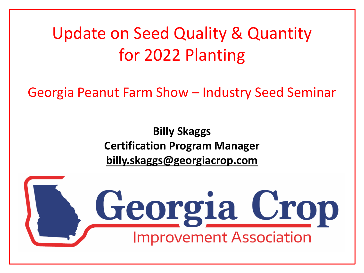Update on Seed Quality & Quantity for 2022 Planting

Georgia Peanut Farm Show – Industry Seed Seminar

**Billy Skaggs Certification Program Manager billy.skaggs@georgiacrop.com**

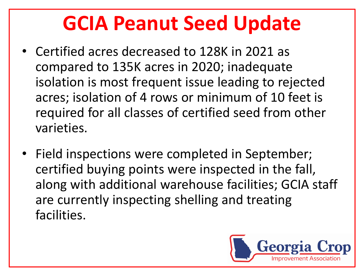## **GCIA Peanut Seed Update**

- Certified acres decreased to 128K in 2021 as compared to 135K acres in 2020; inadequate isolation is most frequent issue leading to rejected acres; isolation of 4 rows or minimum of 10 feet is required for all classes of certified seed from other varieties.
- Field inspections were completed in September; certified buying points were inspected in the fall, along with additional warehouse facilities; GCIA staff are currently inspecting shelling and treating facilities.

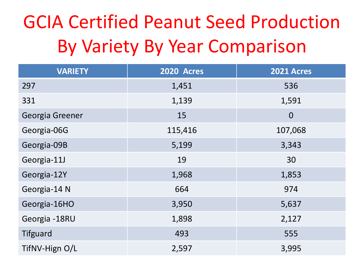# GCIA Certified Peanut Seed Production By Variety By Year Comparison

| <b>VARIETY</b>  | <b>2020 Acres</b> | <b>2021 Acres</b> |  |
|-----------------|-------------------|-------------------|--|
| 297             | 1,451             | 536               |  |
| 331             | 1,139             | 1,591             |  |
| Georgia Greener | 15                | $\overline{0}$    |  |
| Georgia-06G     | 115,416           | 107,068           |  |
| Georgia-09B     | 5,199             | 3,343             |  |
| Georgia-11J     | 19                | 30                |  |
| Georgia-12Y     | 1,968             | 1,853             |  |
| Georgia-14 N    | 664               | 974               |  |
| Georgia-16HO    | 3,950             | 5,637             |  |
| Georgia -18RU   | 1,898             | 2,127             |  |
| <b>Tifguard</b> | 493               | 555               |  |
| TifNV-Hign O/L  | 2,597             | 3,995             |  |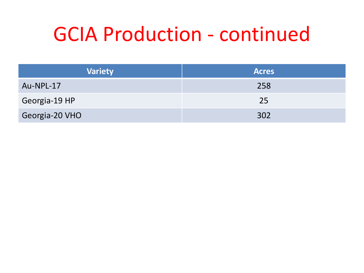## GCIA Production - continued

| <b>Variety</b> | <b>Acres</b> |  |  |
|----------------|--------------|--|--|
| Au-NPL-17      | 258          |  |  |
| Georgia-19 HP  | 25           |  |  |
| Georgia-20 VHO | 302          |  |  |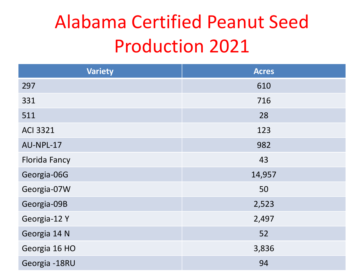## Alabama Certified Peanut Seed Production 2021

| <b>Variety</b>       | <b>Acres</b> |  |
|----------------------|--------------|--|
| 297                  | 610          |  |
| 331                  | 716          |  |
| 511                  | 28           |  |
| <b>ACI 3321</b>      | 123          |  |
| AU-NPL-17            | 982          |  |
| <b>Florida Fancy</b> | 43           |  |
| Georgia-06G          | 14,957       |  |
| Georgia-07W          | 50           |  |
| Georgia-09B          | 2,523        |  |
| Georgia-12Y          | 2,497        |  |
| Georgia 14 N         | 52           |  |
| Georgia 16 HO        | 3,836        |  |
| Georgia -18RU        | 94           |  |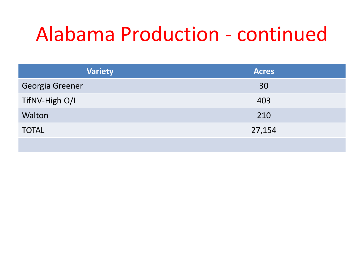# Alabama Production - continued

| <b>Variety</b>  | <b>Acres</b> |  |  |
|-----------------|--------------|--|--|
| Georgia Greener | 30           |  |  |
| TifNV-High O/L  | 403          |  |  |
| Walton          | 210          |  |  |
| <b>TOTAL</b>    | 27,154       |  |  |
|                 |              |  |  |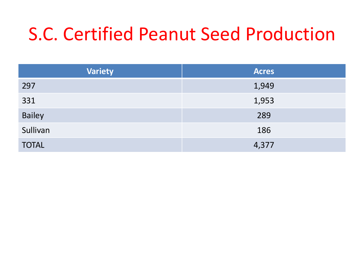### S.C. Certified Peanut Seed Production

| <b>Variety</b> | <b>Acres</b> |
|----------------|--------------|
| 297            | 1,949        |
| 331            | 1,953        |
| <b>Bailey</b>  | 289          |
| Sullivan       | 186          |
| <b>TOTAL</b>   | 4,377        |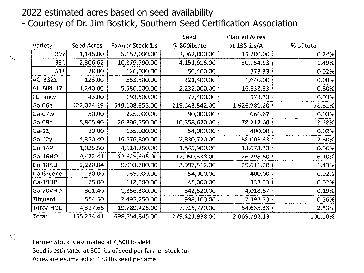#### 2022 estimated acres based on seed availability

- Courtesy of Dr. Jim Bostick, Southern Seed Certification Association

|            |            |                         | Seed           | <b>Planted Acres</b> |            |
|------------|------------|-------------------------|----------------|----------------------|------------|
| Variety    | Seed Acres | <b>Farmer Stock lbs</b> | @ 800lbs/ton   | at 135 lbs/A         | % of total |
| 297        | 1,146.00   | 5,157,000.00            | 2,062,800.00   | 15,280.00            | 0.74%      |
| 331        | 2,306.62   | 10,379,790.00           | 4,151,916.00   | 30,754.93            | 1.49%      |
| 511        | 28.00      | 126,000.00              | 50,400.00      | 373.33               | 0.02%      |
| ACI 3321   | 123.00     | 553,500.00              | 221,400.00     | 1,640.00             | 0.08%      |
| AU-NPL 17  | 1,240.00   | 5,580,000.00            | 2,232,000.00   | 16,533.33            | 0.80%      |
| FL Fancy   | 43.00      | 193,500.00              | 77,400.00      | 573.33               | 0.03%      |
| Ga-06g     | 122,024.19 | 549,108,855.00          | 219,643,542.00 | 1,626,989.20         | 78.61%     |
| $Ga-07w$   | 50.00      | 225,000.00              | 90,000.00      | 666.67               | 0.03%      |
| Ga-09b     | 5,865.90   | 26,396,550.00           | 10,558,620.00  | 78,212.00            | 3.78%      |
| $Ga-11j$   | 30.00      | 135,000.00              | 54,000.00      | 400.00               | 0.02%      |
| $Ga-12y$   | 4,350.40   | 19,576,800.00           | 7,830,720.00   | 58,005.33            | 2.80%      |
| $Ga-14N$   | 1,025.50   | 4,614,750.00            | 1,845,900.00   | 13,673.33            | 0.66%      |
| Ga-16HO    | 9,472.41   | 42,625,845.00           | 17,050,338.00  | 126,298.80           | 6.10%      |
| Ga-18RU    | 2,220.84   | 9,993,780.00            | 3,997,512.00   | 29,611.20            | 1.43%      |
| Ga Greener | 30.00      | 135,000.00              | 54,000.00      | 400.00               | 0.02%      |
| Ga-19HP    | 25.00      | 112,500.00              | 45,000.00      | 333.33               | 0.02%      |
| Ga-20VHO   | 301.40     | 1,356,300.00            | 542,520.00     | 4,018.67             | 0.19%      |
| Tifguard   | 554.50     | 2,495,250.00            | 998,100.00     | 7,393.33             | 0.36%      |
| TifNV-HOL  | 4,397.65   | 19,789,425.00           | 7,915,770.00   | 58,635.33            | 2.83%      |
| Total      | 155,234.41 | 698,554,845.00          | 279,421,938.00 | 2,069,792.13         | 100.00%    |

Farmer Stock is estimated at 4,500 lb yield Seed is estimated at 800 lbs of seed per farmer stock ton Acres are estimated at 135 lbs seed per acre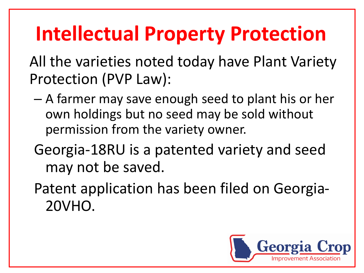# **Intellectual Property Protection**

All the varieties noted today have Plant Variety Protection (PVP Law):

- A farmer may save enough seed to plant his or her own holdings but no seed may be sold without permission from the variety owner.
- Georgia-18RU is a patented variety and seed may not be saved.
- Patent application has been filed on Georgia-20VHO.

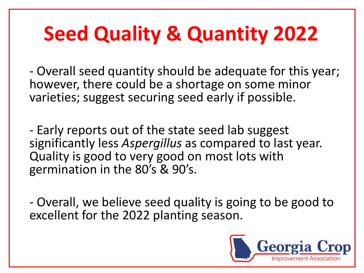# **Seed Quality & Quantity 2022**

- Overall seed quantity should be adequate for this year; however, there could be a shortage on some minor varieties; suggest securing seed early if possible.

- Early reports out of the state seed lab suggest significantly less *Aspergillus* as compared to last year. Quality is good to very good on most lots with germination in the 80's & 90's.

- Overall, we believe seed quality is going to be good to excellent for the 2022 planting season.